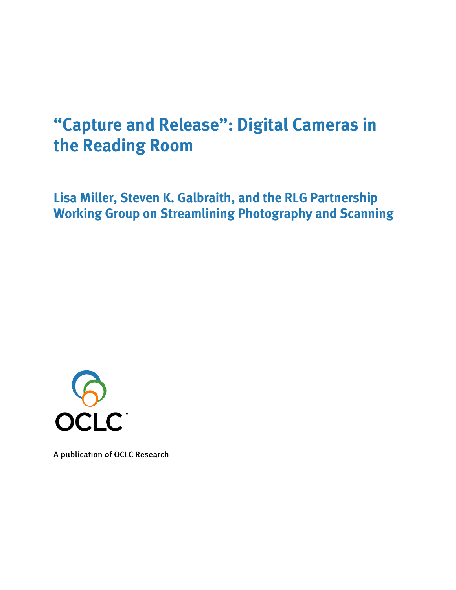# **"Capture and Release": Digital Cameras in the Reading Room**

**Lisa Miller, Steven K. Galbraith, and the RLG Partnership Working Group on Streamlining Photography and Scanning**



A publication of OCLC Research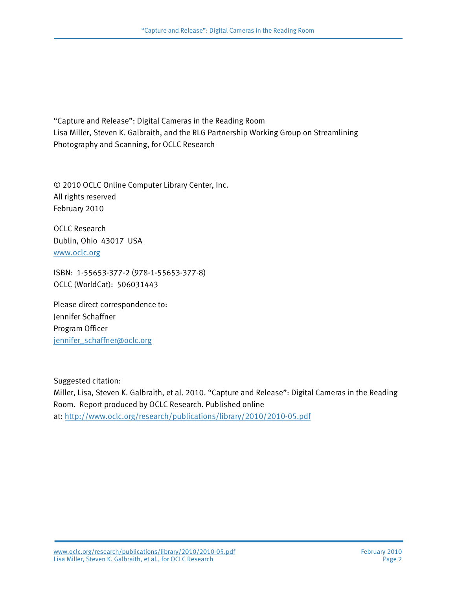"Capture and Release": Digital Cameras in the Reading Room Lisa Miller, Steven K. Galbraith, and the RLG Partnership Working Group on Streamlining Photography and Scanning, for OCLC Research

© 2010 OCLC Online Computer Library Center, Inc. All rights reserved February 2010

OCLC Research Dublin, Ohio 43017 USA [www.oclc.org](http://www.oclc.org/)

ISBN: 1-55653-377-2 (978-1-55653-377-8) OCLC (WorldCat): 506031443

Please direct correspondence to: Jennifer Schaffner Program Officer [jennifer\\_schaffner@oclc.org](mailto:jennifer_schaffner@oclc.org)

Suggested citation: Miller, Lisa, Steven K. Galbraith, et al. 2010. "Capture and Release": Digital Cameras in the Reading Room. Report produced by OCLC Research. Published online at:<http://www.oclc.org/research/publications/library/2010/2010-05.pdf>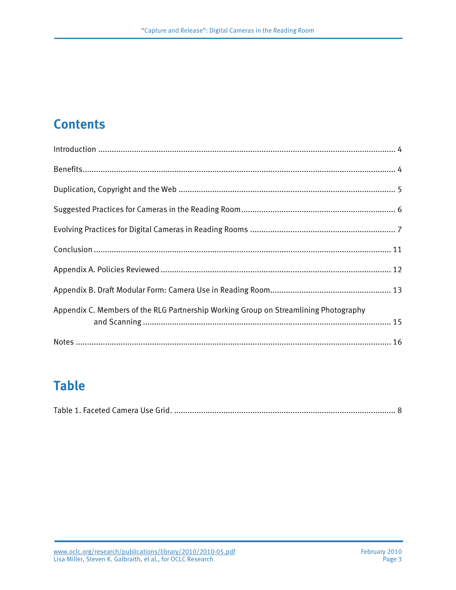## **Contents**

| Appendix C. Members of the RLG Partnership Working Group on Streamlining Photography |  |
|--------------------------------------------------------------------------------------|--|
|                                                                                      |  |

## **Table**

|--|--|--|--|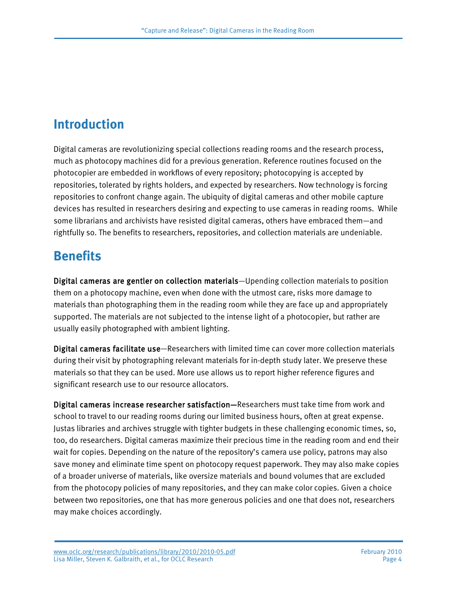## **Introduction**

Digital cameras are revolutionizing special collections reading rooms and the research process, much as photocopy machines did for a previous generation. Reference routines focused on the photocopier are embedded in workflows of every repository; photocopying is accepted by repositories, tolerated by rights holders, and expected by researchers. Now technology is forcing repositories to confront change again. The ubiquity of digital cameras and other mobile capture devices has resulted in researchers desiring and expecting to use cameras in reading rooms. While some librarians and archivists have resisted digital cameras, others have embraced them—and rightfully so. The benefits to researchers, repositories, and collection materials are undeniable.

## **Benefits**

Digital cameras are gentler on collection materials—Upending collection materials to position them on a photocopy machine, even when done with the utmost care, risks more damage to materials than photographing them in the reading room while they are face up and appropriately supported. The materials are not subjected to the intense light of a photocopier, but rather are usually easily photographed with ambient lighting.

Digital cameras facilitate use—Researchers with limited time can cover more collection materials during their visit by photographing relevant materials for in-depth study later. We preserve these materials so that they can be used. More use allows us to report higher reference figures and significant research use to our resource allocators.

Digital cameras increase researcher satisfaction—Researchers must take time from work and school to travel to our reading rooms during our limited business hours, often at great expense. Justas libraries and archives struggle with tighter budgets in these challenging economic times, so, too, do researchers. Digital cameras maximize their precious time in the reading room and end their wait for copies. Depending on the nature of the repository's camera use policy, patrons may also save money and eliminate time spent on photocopy request paperwork. They may also make copies of a broader universe of materials, like oversize materials and bound volumes that are excluded from the photocopy policies of many repositories, and they can make color copies. Given a choice between two repositories, one that has more generous policies and one that does not, researchers may make choices accordingly.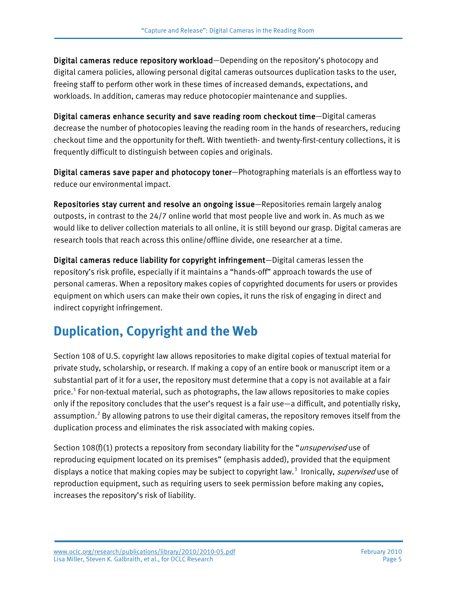Digital cameras reduce repository workload—Depending on the repository's photocopy and digital camera policies, allowing personal digital cameras outsources duplication tasks to the user, freeing staff to perform other work in these times of increased demands, expectations, and workloads. In addition, cameras may reduce photocopier maintenance and supplies.

Digital cameras enhance security and save reading room checkout time—Digital cameras decrease the number of photocopies leaving the reading room in the hands of researchers, reducing checkout time and the opportunity for theft. With twentieth- and twenty-first-century collections, it is frequently difficult to distinguish between copies and originals.

Digital cameras save paper and photocopy toner—Photographing materials is an effortless way to reduce our environmental impact.

Repositories stay current and resolve an ongoing issue—Repositories remain largely analog outposts, in contrast to the 24/7 online world that most people live and work in. As much as we would like to deliver collection materials to all online, it is still beyond our grasp. Digital cameras are research tools that reach across this online/offline divide, one researcher at a time.

Digital cameras reduce liability for copyright infringement—Digital cameras lessen the repository's risk profile, especially if it maintains a "hands-off" approach towards the use of personal cameras. When a repository makes copies of copyrighted documents for users or provides equipment on which users can make their own copies, it runs the risk of engaging in direct and indirect copyright infringement.

## **Duplication, Copyright and the Web**

Section 108 of U.S. copyright law allows repositories to make digital copies of textual material for private study, scholarship, or research. If making a copy of an entire book or manuscript item or a substantial part of it for a user, the repository must determine that a copy is not available at a fair price.[1](#page-15-0) For non-textual material, such as photographs, the law allows repositories to make copies only if the repository concludes that the user's request is a fair use—a difficult, and potentially risky, assumption.<sup>[2](#page-15-1)</sup> By allowing patrons to use their digital cameras, the repository removes itself from the duplication process and eliminates the risk associated with making copies.

Section 108(f)(1) protects a repository from secondary liability for the "*unsupervised* use of reproducing equipment located on its premises" (emphasis added), provided that the equipment displays a notice that making copies may be subject to copyright law.<sup>[3](#page-15-2)</sup> Ironically, *supervised* use of reproduction equipment, such as requiring users to seek permission before making any copies, increases the repository's risk of liability.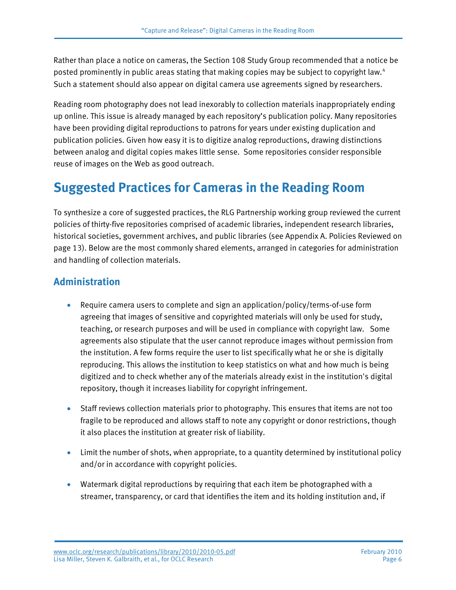Rather than place a notice on cameras, the Section 108 Study Group recommended that a notice be posted prominently in public areas stating that making copies may be subject to copyright law.<sup>[4](#page-15-3)</sup> Such a statement should also appear on digital camera use agreements signed by researchers.

Reading room photography does not lead inexorably to collection materials inappropriately ending up online. This issue is already managed by each repository's publication policy. Many repositories have been providing digital reproductions to patrons for years under existing duplication and publication policies. Given how easy it is to digitize analog reproductions, drawing distinctions between analog and digital copies makes little sense. Some repositories consider responsible reuse of images on the Web as good outreach.

#### **Suggested Practices for Cameras in the Reading Room**

To synthesize a core of suggested practices, the RLG Partnership working group reviewed the current policies of thirty-five repositories comprised of academic libraries, independent research libraries, historical societies, government archives, and public libraries (see Appendix A. Policies Reviewed on page 13). Below are the most commonly shared elements, arranged in categories for administration and handling of collection materials.

#### **Administration**

- Require camera users to complete and sign an application/policy/terms-of-use form agreeing that images of sensitive and copyrighted materials will only be used for study, teaching, or research purposes and will be used in compliance with copyright law. Some agreements also stipulate that the user cannot reproduce images without permission from the institution. A few forms require the user to list specifically what he or she is digitally reproducing. This allows the institution to keep statistics on what and how much is being digitized and to check whether any of the materials already exist in the institution's digital repository, though it increases liability for copyright infringement.
- Staff reviews collection materials prior to photography. This ensures that items are not too fragile to be reproduced and allows staff to note any copyright or donor restrictions, though it also places the institution at greater risk of liability.
- Limit the number of shots, when appropriate, to a quantity determined by institutional policy and/or in accordance with copyright policies.
- Watermark digital reproductions by requiring that each item be photographed with a streamer, transparency, or card that identifies the item and its holding institution and, if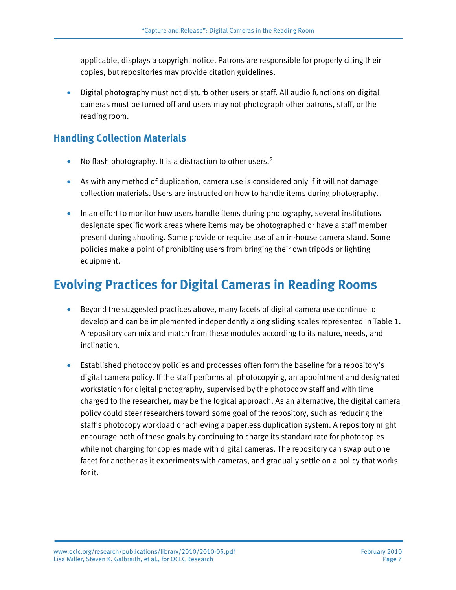applicable, displays a copyright notice. Patrons are responsible for properly citing their copies, but repositories may provide citation guidelines.

• Digital photography must not disturb other users or staff. All audio functions on digital cameras must be turned off and users may not photograph other patrons, staff, or the reading room.

#### **Handling Collection Materials**

- No flash photography. It is a distraction to other users.<sup>[5](#page-15-4)</sup>
- As with any method of duplication, camera use is considered only if it will not damage collection materials. Users are instructed on how to handle items during photography.
- In an effort to monitor how users handle items during photography, several institutions designate specific work areas where items may be photographed or have a staff member present during shooting. Some provide or require use of an in-house camera stand. Some policies make a point of prohibiting users from bringing their own tripods or lighting equipment.

## **Evolving Practices for Digital Cameras in Reading Rooms**

- Beyond the suggested practices above, many facets of digital camera use continue to develop and can be implemented independently along sliding scales represented in Table 1. A repository can mix and match from these modules according to its nature, needs, and inclination.
- Established photocopy policies and processes often form the baseline for a repository's digital camera policy. If the staff performs all photocopying, an appointment and designated workstation for digital photography, supervised by the photocopy staff and with time charged to the researcher, may be the logical approach. As an alternative, the digital camera policy could steer researchers toward some goal of the repository, such as reducing the staff's photocopy workload or achieving a paperless duplication system. A repository might encourage both of these goals by continuing to charge its standard rate for photocopies while not charging for copies made with digital cameras. The repository can swap out one facet for another as it experiments with cameras, and gradually settle on a policy that works for it.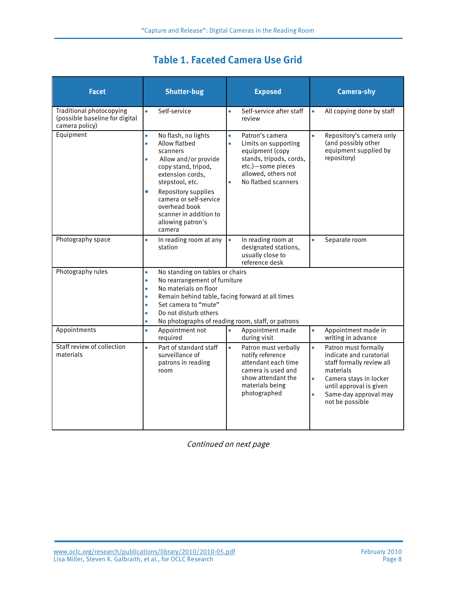| <b>Facet</b>                                                                        | <b>Shutter-bug</b>                                                                                                                                                                                                                                                                                                                             | <b>Exposed</b>                                                                                                                                                                                  | <b>Camera-shy</b>                                                                                                                                                                                                                 |
|-------------------------------------------------------------------------------------|------------------------------------------------------------------------------------------------------------------------------------------------------------------------------------------------------------------------------------------------------------------------------------------------------------------------------------------------|-------------------------------------------------------------------------------------------------------------------------------------------------------------------------------------------------|-----------------------------------------------------------------------------------------------------------------------------------------------------------------------------------------------------------------------------------|
| <b>Traditional photocopying</b><br>(possible baseline for digital<br>camera policy) | Self-service<br>$\bullet$                                                                                                                                                                                                                                                                                                                      | Self-service after staff<br>$\bullet$<br>review                                                                                                                                                 | All copying done by staff<br>$\bullet$                                                                                                                                                                                            |
| Equipment                                                                           | No flash, no lights<br>$\bullet$<br>Allow flatbed<br>$\bullet$<br>scanners<br>Allow and/or provide<br>$\bullet$<br>copy stand, tripod,<br>extension cords,<br>stepstool, etc.<br>Repository supplies<br>۰<br>camera or self-service<br>overhead book<br>scanner in addition to<br>allowing patron's<br>camera                                  | Patron's camera<br>$\bullet$<br>$\bullet$<br>Limits on supporting<br>equipment (copy<br>stands, tripods, cords,<br>etc.)-some pieces<br>allowed, others not<br>No flatbed scanners<br>$\bullet$ | $\bullet$<br>Repository's camera only<br>(and possibly other<br>equipment supplied by<br>repository)                                                                                                                              |
| Photography space                                                                   | In reading room at any<br>$\bullet$<br>station                                                                                                                                                                                                                                                                                                 | In reading room at<br>$\bullet$<br>designated stations,<br>usually close to<br>reference desk                                                                                                   | $\bullet$<br>Separate room                                                                                                                                                                                                        |
| Photography rules                                                                   | No standing on tables or chairs<br>$\bullet$<br>No rearrangement of furniture<br>$\bullet$<br>No materials on floor<br>$\bullet$<br>Remain behind table, facing forward at all times<br>$\bullet$<br>Set camera to "mute"<br>$\bullet$<br>Do not disturb others<br>$\bullet$<br>No photographs of reading room, staff, or patrons<br>$\bullet$ |                                                                                                                                                                                                 |                                                                                                                                                                                                                                   |
| Appointments                                                                        | Appointment not<br>$\bullet$<br>required                                                                                                                                                                                                                                                                                                       | Appointment made<br>$\bullet$<br>during visit                                                                                                                                                   | Appointment made in<br>$\bullet$<br>writing in advance                                                                                                                                                                            |
| Staff review of collection<br>materials                                             | Part of standard staff<br>$\bullet$<br>surveillance of<br>patrons in reading<br>room                                                                                                                                                                                                                                                           | $\bullet$<br>Patron must verbally<br>notify reference<br>attendant each time<br>camera is used and<br>show attendant the<br>materials being<br>photographed                                     | $\bullet$<br>Patron must formally<br>indicate and curatorial<br>staff formally review all<br>materials<br>Camera stays in locker<br>$\bullet$<br>until approval is given<br>Same-day approval may<br>$\bullet$<br>not be possible |

Continued on next page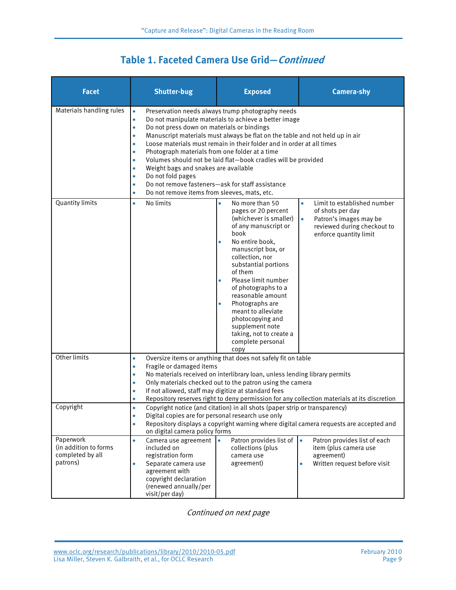#### **Table 1. Faceted Camera Use Grid—Continued**

| <b>Facet</b>                                                       | <b>Shutter-bug</b>                                                                                                                                                                                                                                                                                                                                                                              | <b>Exposed</b>                                                                                                                                                                                                                                                                                                                                                                                                          | <b>Camera-shy</b>                                                                                                                                            |
|--------------------------------------------------------------------|-------------------------------------------------------------------------------------------------------------------------------------------------------------------------------------------------------------------------------------------------------------------------------------------------------------------------------------------------------------------------------------------------|-------------------------------------------------------------------------------------------------------------------------------------------------------------------------------------------------------------------------------------------------------------------------------------------------------------------------------------------------------------------------------------------------------------------------|--------------------------------------------------------------------------------------------------------------------------------------------------------------|
| Materials handling rules                                           | $\bullet$<br>$\bullet$<br>Do not press down on materials or bindings<br>$\bullet$<br>$\bullet$<br>$\bullet$<br>Photograph materials from one folder at a time<br>$\bullet$<br>Weight bags and snakes are available<br>$\bullet$<br>Do not fold pages<br>$\bullet$<br>Do not remove fasteners-ask for staff assistance<br>$\bullet$<br>Do not remove items from sleeves, mats, etc.<br>$\bullet$ | Preservation needs always trump photography needs<br>Do not manipulate materials to achieve a better image<br>Manuscript materials must always be flat on the table and not held up in air<br>Loose materials must remain in their folder and in order at all times<br>Volumes should not be laid flat-book cradles will be provided                                                                                    |                                                                                                                                                              |
| <b>Quantity limits</b>                                             | No limits<br>$\bullet$                                                                                                                                                                                                                                                                                                                                                                          | No more than 50<br>pages or 20 percent<br>(whichever is smaller)<br>of any manuscript or<br>book<br>No entire book,<br>manuscript box, or<br>collection, nor<br>substantial portions<br>of them<br>Please limit number<br>$\bullet$<br>of photographs to a<br>reasonable amount<br>Photographs are<br>meant to alleviate<br>photocopying and<br>supplement note<br>taking, not to create a<br>complete personal<br>copy | Limit to established number<br>$\bullet$<br>of shots per day<br>Patron's images may be<br>$\bullet$<br>reviewed during checkout to<br>enforce quantity limit |
| Other limits                                                       | $\bullet$<br>Fragile or damaged items<br>$\bullet$<br>$\bullet$<br>$\bullet$<br>If not allowed, staff may digitize at standard fees<br>$\bullet$<br>$\bullet$                                                                                                                                                                                                                                   | Oversize items or anything that does not safely fit on table<br>No materials received on interlibrary loan, unless lending library permits<br>Only materials checked out to the patron using the camera                                                                                                                                                                                                                 | Repository reserves right to deny permission for any collection materials at its discretion                                                                  |
| Copyright                                                          | Copyright notice (and citation) in all shots (paper strip or transparency)<br>Digital copies are for personal research use only<br>Repository displays a copyright warning where digital camera requests are accepted and<br>on digital camera policy forms                                                                                                                                     |                                                                                                                                                                                                                                                                                                                                                                                                                         |                                                                                                                                                              |
| Paperwork<br>(in addition to forms<br>completed by all<br>patrons) | Camera use agreement<br>$\bullet$<br>included on<br>registration form<br>Separate camera use<br>agreement with<br>copyright declaration<br>(renewed annually/per<br>visit/per day)                                                                                                                                                                                                              | Patron provides list of $\vert \bullet \vert$<br>collections (plus<br>camera use<br>agreement)                                                                                                                                                                                                                                                                                                                          | Patron provides list of each<br>item (plus camera use<br>agreement)<br>Written request before visit                                                          |

Continued on next page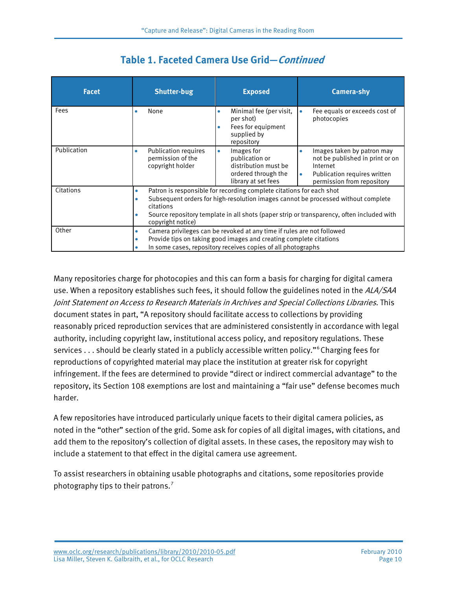| <b>Facet</b> | <b>Shutter-bug</b>                                                                                                                                                                                                                                                                                                      | <b>Exposed</b>                                                                                                  | <b>Camera-shy</b>                                                                                                                                         |
|--------------|-------------------------------------------------------------------------------------------------------------------------------------------------------------------------------------------------------------------------------------------------------------------------------------------------------------------------|-----------------------------------------------------------------------------------------------------------------|-----------------------------------------------------------------------------------------------------------------------------------------------------------|
| Fees         | None<br>٠                                                                                                                                                                                                                                                                                                               | Minimal fee (per visit,<br>$\bullet$<br>per shot)<br>Fees for equipment<br>supplied by<br>repository            | Fee equals or exceeds cost of<br>$\bullet$<br>photocopies                                                                                                 |
| Publication  | <b>Publication requires</b><br>۰<br>permission of the<br>copyright holder                                                                                                                                                                                                                                               | Images for<br>$\bullet$<br>publication or<br>distribution must be<br>ordered through the<br>library at set fees | Images taken by patron may<br>۰<br>not be published in print or on<br>Internet<br>Publication requires written<br>$\bullet$<br>permission from repository |
| Citations    | Patron is responsible for recording complete citations for each shot<br>$\bullet$<br>Subsequent orders for high-resolution images cannot be processed without complete<br>$\bullet$<br>citations<br>Source repository template in all shots (paper strip or transparency, often included with<br>۰<br>copyright notice) |                                                                                                                 |                                                                                                                                                           |
| Other        | Camera privileges can be revoked at any time if rules are not followed<br>۰<br>Provide tips on taking good images and creating complete citations<br>۰<br>In some cases, repository receives copies of all photographs                                                                                                  |                                                                                                                 |                                                                                                                                                           |

#### **Table 1. Faceted Camera Use Grid—Continued**

Many repositories charge for photocopies and this can form a basis for charging for digital camera use. When a repository establishes such fees, it should follow the guidelines noted in the ALA/SAA Joint Statement on Access to Research Materials in Archives and Special Collections Libraries. This document states in part, "A repository should facilitate access to collections by providing reasonably priced reproduction services that are administered consistently in accordance with legal authority, including copyright law, institutional access policy, and repository regulations. These services . . . should be clearly stated in a publicly accessible written policy."<sup>[6](#page-15-5)</sup> Charging fees for reproductions of copyrighted material may place the institution at greater risk for copyright infringement. If the fees are determined to provide "direct or indirect commercial advantage" to the repository, its Section 108 exemptions are lost and maintaining a "fair use" defense becomes much harder.

A few repositories have introduced particularly unique facets to their digital camera policies, as noted in the "other" section of the grid. Some ask for copies of all digital images, with citations, and add them to the repository's collection of digital assets. In these cases, the repository may wish to include a statement to that effect in the digital camera use agreement.

To assist researchers in obtaining usable photographs and citations, some repositories provide photography tips to their patrons.[7](#page-15-6)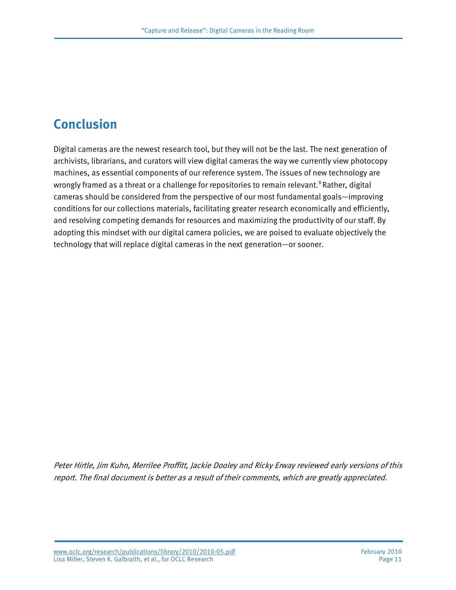## **Conclusion**

Digital cameras are the newest research tool, but they will not be the last. The next generation of archivists, librarians, and curators will view digital cameras the way we currently view photocopy machines, as essential components of our reference system. The issues of new technology are wrongly framed as a threat or a challenge for repositories to remain relevant.<sup>[8](#page-15-7)</sup> Rather, digital cameras should be considered from the perspective of our most fundamental goals—improving conditions for our collections materials, facilitating greater research economically and efficiently, and resolving competing demands for resources and maximizing the productivity of our staff. By adopting this mindset with our digital camera policies, we are poised to evaluate objectively the technology that will replace digital cameras in the next generation—or sooner.

Peter Hirtle, Jim Kuhn, Merrilee Proffitt, Jackie Dooley and Ricky Erway reviewed early versions of this report. The final document is better as a result of their comments, which are greatly appreciated.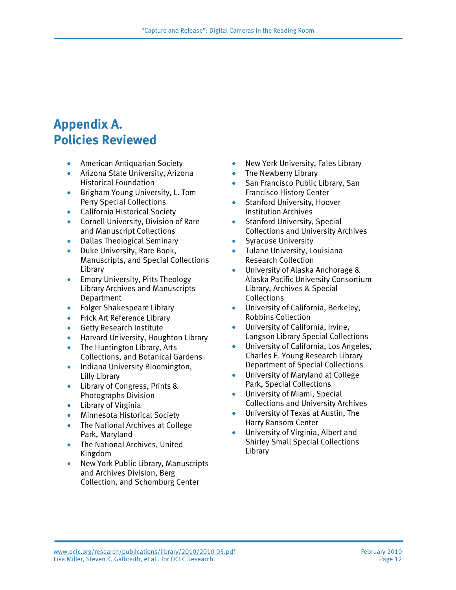#### **Appendix A. Policies Reviewed**

- American Antiquarian Society
- Arizona State University, Arizona Historical Foundation
- Brigham Young University, L. Tom Perry Special Collections
- California Historical Society
- Cornell University, Division of Rare and Manuscript Collections
- Dallas Theological Seminary
- Duke University, Rare Book, Manuscripts, and Special Collections Library
- Emory University, Pitts Theology Library Archives and Manuscripts Department
- Folger Shakespeare Library
- Frick Art Reference Library
- Getty Research Institute
- Harvard University, Houghton Library
- The Huntington Library, Arts Collections, and Botanical Gardens
- Indiana University Bloomington, Lilly Library
- Library of Congress, Prints & Photographs Division
- Library of Virginia
- Minnesota Historical Society
- The National Archives at College Park, Maryland
- The National Archives, United Kingdom
- New York Public Library, Manuscripts and Archives Division, Berg Collection, and Schomburg Center
- New York University, Fales Library
- The Newberry Library
- San Francisco Public Library, San Francisco History Center
- Stanford University, Hoover Institution Archives
- Stanford University, Special Collections and University Archives
- Syracuse University
- Tulane University, Louisiana Research Collection
- University of Alaska Anchorage & Alaska Pacific University Consortium Library, Archives & Special Collections
- University of California, Berkeley, Robbins Collection
- University of California, Irvine, Langson Library Special Collections
- University of California, Los Angeles, Charles E. Young Research Library Department of Special Collections
- University of Maryland at College Park, Special Collections
- University of Miami, Special Collections and University Archives
- University of Texas at Austin, The Harry Ransom Center
- University of Virginia, Albert and Shirley Small Special Collections Library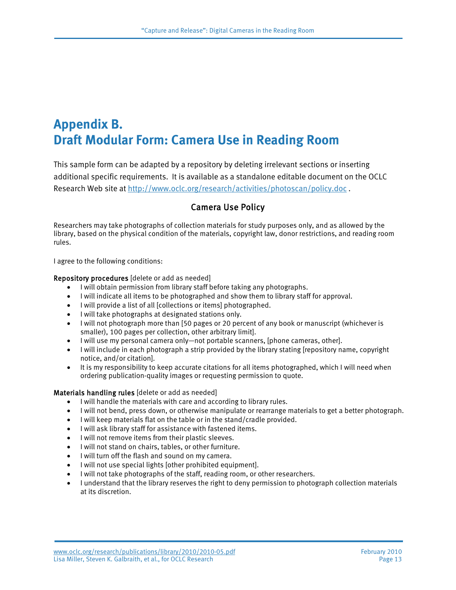### **Appendix B. Draft Modular Form: Camera Use in Reading Room**

This sample form can be adapted by a repository by deleting irrelevant sections or inserting additional specific requirements. It is available as a standalone editable document on the OCLC Research Web site at<http://www.oclc.org/research/activities/photoscan/policy.doc> .

#### Camera Use Policy

Researchers may take photographs of collection materials for study purposes only, and as allowed by the library, based on the physical condition of the materials, copyright law, donor restrictions, and reading room rules.

I agree to the following conditions:

#### Repository procedures [delete or add as needed]

- I will obtain permission from library staff before taking any photographs.
- I will indicate all items to be photographed and show them to library staff for approval.
- I will provide a list of all [collections or items] photographed.
- I will take photographs at designated stations only.
- I will not photograph more than [50 pages or 20 percent of any book or manuscript (whichever is smaller), 100 pages per collection, other arbitrary limit].
- I will use my personal camera only—not portable scanners, [phone cameras, other].
- I will include in each photograph a strip provided by the library stating [repository name, copyright notice, and/or citation].
- It is my responsibility to keep accurate citations for all items photographed, which I will need when ordering publication-quality images or requesting permission to quote.

#### Materials handling rules [delete or add as needed]

- I will handle the materials with care and according to library rules.
- I will not bend, press down, or otherwise manipulate or rearrange materials to get a better photograph.
- I will keep materials flat on the table or in the stand/cradle provided.
- I will ask library staff for assistance with fastened items.
- I will not remove items from their plastic sleeves.
- I will not stand on chairs, tables, or other furniture.
- I will turn off the flash and sound on my camera.
- I will not use special lights [other prohibited equipment].
- I will not take photographs of the staff, reading room, or other researchers.
- I understand that the library reserves the right to deny permission to photograph collection materials at its discretion.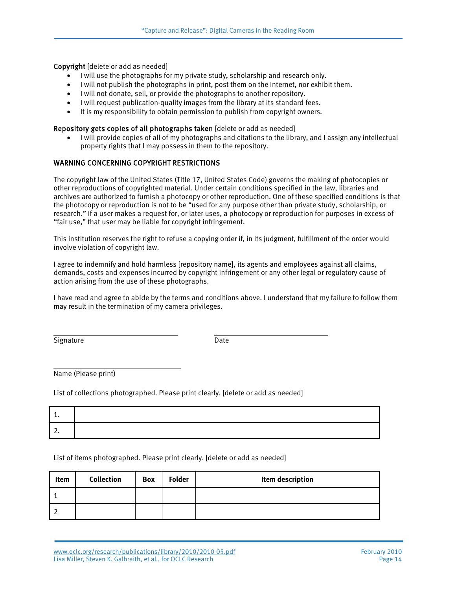Copyright [delete or add as needed]

- I will use the photographs for my private study, scholarship and research only.
- I will not publish the photographs in print, post them on the Internet, nor exhibit them.
- I will not donate, sell, or provide the photographs to another repository.
- I will request publication-quality images from the library at its standard fees.
- It is my responsibility to obtain permission to publish from copyright owners.

#### Repository gets copies of all photographs taken [delete or add as needed]

• I will provide copies of all of my photographs and citations to the library, and I assign any intellectual property rights that I may possess in them to the repository.

#### WARNING CONCERNING COPYRIGHT RESTRICTIONS

The copyright law of the United States (Title 17, United States Code) governs the making of photocopies or other reproductions of copyrighted material. Under certain conditions specified in the law, libraries and archives are authorized to furnish a photocopy or other reproduction. One of these specified conditions is that the photocopy or reproduction is not to be "used for any purpose other than private study, scholarship, or research." If a user makes a request for, or later uses, a photocopy or reproduction for purposes in excess of "fair use," that user may be liable for copyright infringement.

This institution reserves the right to refuse a copying order if, in its judgment, fulfillment of the order would involve violation of copyright law.

I agree to indemnify and hold harmless [repository name], its agents and employees against all claims, demands, costs and expenses incurred by copyright infringement or any other legal or regulatory cause of action arising from the use of these photographs.

I have read and agree to abide by the terms and conditions above. I understand that my failure to follow them may result in the termination of my camera privileges.

Signature Date

Name (Please print)

List of collections photographed. Please print clearly. [delete or add as needed]

| . . |  |
|-----|--|
|     |  |

List of items photographed. Please print clearly. [delete or add as needed]

| Item | <b>Collection</b> | <b>Box</b> | <b>Folder</b> | Item description |
|------|-------------------|------------|---------------|------------------|
|      |                   |            |               |                  |
|      |                   |            |               |                  |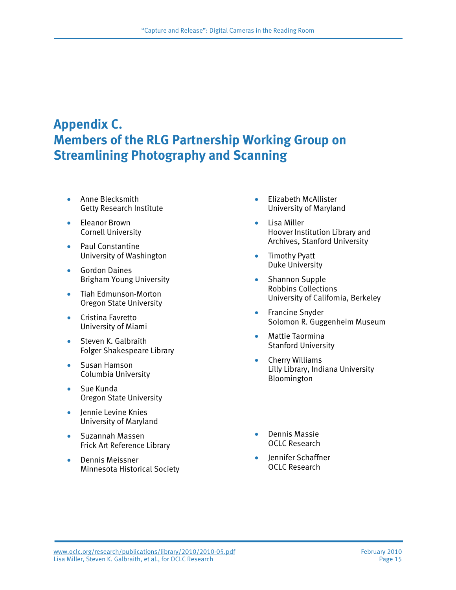### **Appendix C. Members of the RLG Partnership Working Group on Streamlining Photography and Scanning**

- Anne Blecksmith Getty Research Institute
- Eleanor Brown Cornell University
- Paul Constantine University of Washington
- Gordon Daines Brigham Young University
- Tiah Edmunson-Morton Oregon State University
- Cristina Favretto University of Miami
- Steven K. Galbraith Folger Shakespeare Library
- Susan Hamson Columbia University
- Sue Kunda Oregon State University
- Jennie Levine Knies University of Maryland
- Suzannah Massen Frick Art Reference Library
- Dennis Meissner Minnesota Historical Society
- Elizabeth McAllister University of Maryland
- Lisa Miller Hoover Institution Library and Archives, Stanford University
- Timothy Pyatt Duke University
- Shannon Supple Robbins Collections University of California, Berkeley
- Francine Snyder Solomon R. Guggenheim Museum
- Mattie Taormina Stanford University
- Cherry Williams Lilly Library, Indiana University Bloomington
- Dennis Massie OCLC Research
- Jennifer Schaffner OCLC Research